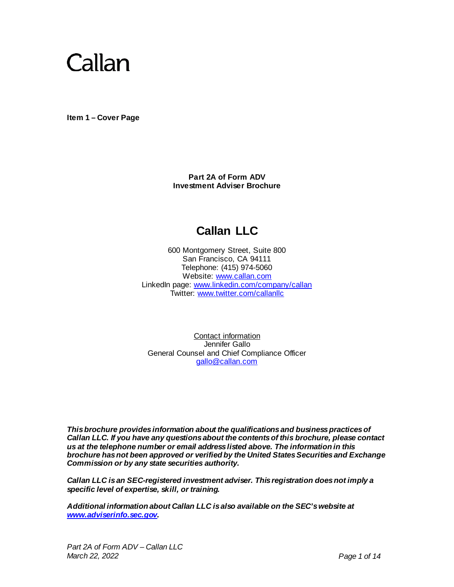

<span id="page-0-0"></span>**Item 1 – Cover Page**

**Part 2A of Form ADV Investment Adviser Brochure**

# **Callan LLC**

600 Montgomery Street, Suite 800 San Francisco, CA 94111 Telephone: (415) 974-5060 Website: [www.callan.com](http://www.callan.com/) LinkedIn page: [www.linkedin.com/company/callan](http://www.linkedin.com/company/callan) Twitter: [www.twitter.com/callanllc](http://www.twitter.com/callanllc)

Contact information Jennifer Gallo General Counsel and Chief Compliance Officer [gallo@callan.com](mailto:gallo@callan.com)

*This brochure provides information about the qualifications and business practices of Callan LLC. If you have any questions about the contents of this brochure, please contact us at the telephone number or email address listed above. The information in this brochure has not been approved or verified by the United States Securities and Exchange Commission or by any state securities authority.* 

*Callan LLC is an SEC-registered investment adviser. This registration does not imply a specific level of expertise, skill, or training.*

<span id="page-0-1"></span>*Additional information about Callan LLC is also available on the SEC's website at [www.adviserinfo.sec.gov](http://www.adviserinfo.sec.gov/).*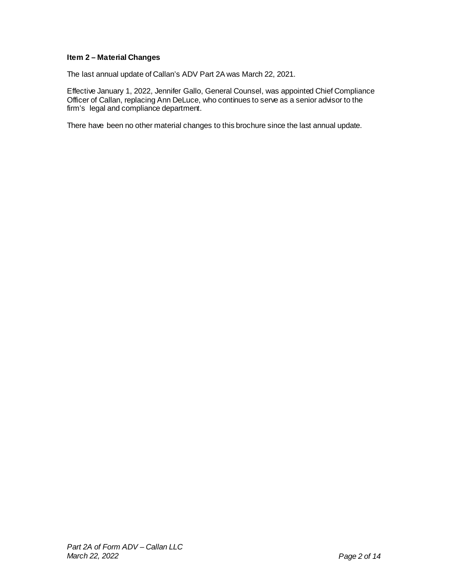## **Item 2 – Material Changes**

The last annual update of Callan's ADV Part 2A was March 22, 2021.

Effective January 1, 2022, Jennifer Gallo, General Counsel, was appointed Chief Compliance Officer of Callan, replacing Ann DeLuce, who continues to serve as a senior advisor to the firm's legal and compliance department.

There have been no other material changes to this brochure since the last annual update.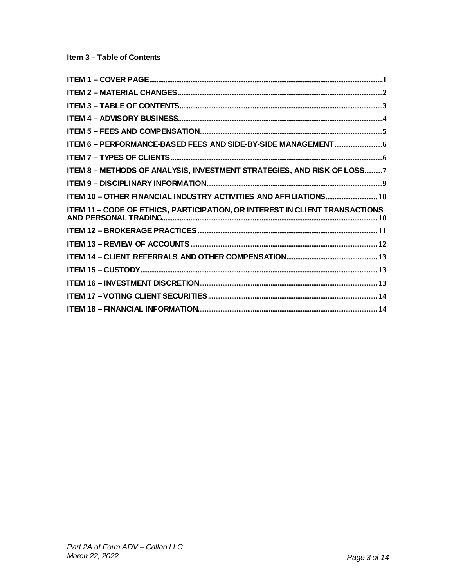<span id="page-2-0"></span>

| ITEM 8 - METHODS OF ANALYSIS, INVESTMENT STRATEGIES, AND RISK OF LOSS7 |
|------------------------------------------------------------------------|
|                                                                        |
|                                                                        |
|                                                                        |
|                                                                        |
|                                                                        |
|                                                                        |
|                                                                        |
|                                                                        |
|                                                                        |
|                                                                        |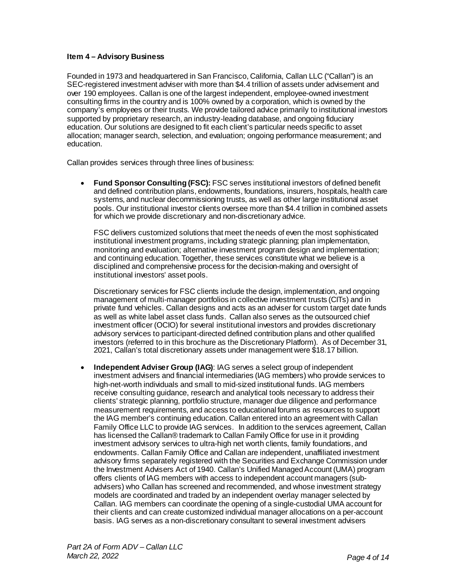## <span id="page-3-0"></span>**Item 4 – Advisory Business**

Founded in 1973 and headquartered in San Francisco, California, Callan LLC ("Callan") is an SEC-registered investment adviser with more than \$4.4 trillion of assets under advisement and over 190 employees. Callan is one of the largest independent, employee-owned investment consulting firms in the country and is 100% owned by a corporation, which is owned by the company's employees or their trusts. We provide tailored advice primarily to institutional investors supported by proprietary research, an industry-leading database, and ongoing fiduciary education. Our solutions are designed to fit each client's particular needs specific to asset allocation; manager search, selection, and evaluation; ongoing performance measurement; and education.

Callan provides services through three lines of business:

• **Fund Sponsor Consulting (FSC):** FSC serves institutional investors of defined benefit and defined contribution plans, endowments, foundations, insurers, hospitals, health care systems, and nuclear decommissioning trusts, as well as other large institutional asset pools. Our institutional investor clients oversee more than \$4.4 trillion in combined assets for which we provide discretionary and non-discretionary advice.

FSC delivers customized solutions that meet the needs of even the most sophisticated institutional investment programs, including strategic planning; plan implementation, monitoring and evaluation; alternative investment program design and implementation; and continuing education. Together, these services constitute what we believe is a disciplined and comprehensive process for the decision-making and oversight of institutional investors' asset pools.

Discretionary services for FSC clients include the design, implementation, and ongoing management of multi-manager portfolios in collective investment trusts (CITs) and in private fund vehicles. Callan designs and acts as an adviser for custom target date funds as well as white label asset class funds. Callan also serves as the outsourced chief investment officer (OCIO) for several institutional investors and provides discretionary advisory services to participant-directed defined contribution plans and other qualified investors (referred to in this brochure as the Discretionary Platform). As of December 31, 2021, Callan's total discretionary assets under management were \$18.17 billion.

• **Independent Adviser Group (IAG)**: IAG serves a select group of independent investment advisers and financial intermediaries (IAG members) who provide services to high-net-worth individuals and small to mid-sized institutional funds. IAG members receive consulting guidance, research and analytical tools necessary to address their clients' strategic planning, portfolio structure, manager due diligence and performance measurement requirements, and access to educational forums as resources to support the IAG member's continuing education. Callan entered into an agreement with Callan Family Office LLC to provide IAG services. In addition to the services agreement, Callan has licensed the Callan® trademark to Callan Family Office for use in it providing investment advisory services to ultra-high net worth clients, family foundations, and endowments. Callan Family Office and Callan are independent, unaffiliated investment advisory firms separately registered with the Securities and Exchange Commission under the Investment Advisers Act of 1940. Callan's Unified Managed Account (UMA) program offers clients of IAG members with access to independent account managers (subadvisers) who Callan has screened and recommended, and whose investment strategy models are coordinated and traded by an independent overlay manager selected by Callan. IAG members can coordinate the opening of a single-custodial UMA account for their clients and can create customized individual manager allocations on a per-account basis. IAG serves as a non-discretionary consultant to several investment advisers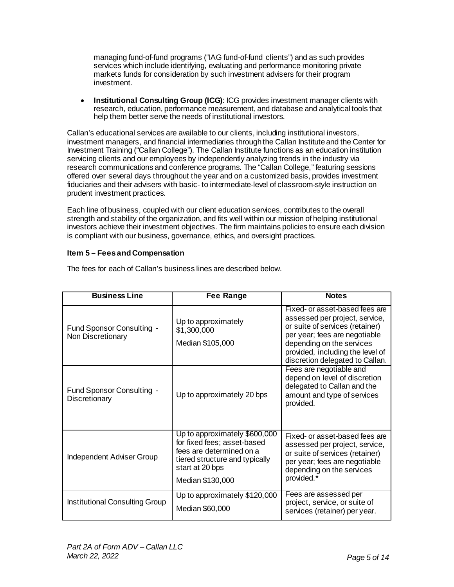managing fund-of-fund programs ("IAG fund-of-fund clients") and as such provides services which include identifying, evaluating and performance monitoring private markets funds for consideration by such investment advisers for their program investment.

• **Institutional Consulting Group (ICG)**: ICG provides investment manager clients with research, education, performance measurement, and database and analytical tools that help them better serve the needs of institutional investors.

Callan's educational services are available to our clients, including institutional investors, investment managers, and financial intermediaries through the Callan Institute and the Center for Investment Training ("Callan College"). The Callan Institute functions as an education institution servicing clients and our employees by independently analyzing trends in the industry via research communications and conference programs. The "Callan College," featuring sessions offered over several days throughout the year and on a customized basis, provides investment fiduciaries and their advisers with basic- to intermediate-level of classroom-style instruction on prudent investment practices.

Each line of business, coupled with our client education services, contributes to the overall strength and stability of the organization, and fits well within our mission of helping institutional investors achieve their investment objectives. The firm maintains policies to ensure each division is compliant with our business, governance, ethics, and oversight practices.

## <span id="page-4-0"></span>**Item 5 – Fees and Compensation**

| <b>Business Line</b>                           | <b>Fee Range</b>                                                                                                                              | <b>Notes</b>                                                                                                                                                                                                                             |
|------------------------------------------------|-----------------------------------------------------------------------------------------------------------------------------------------------|------------------------------------------------------------------------------------------------------------------------------------------------------------------------------------------------------------------------------------------|
| Fund Sponsor Consulting -<br>Non Discretionary | Up to approximately<br>\$1,300,000<br>Median \$105,000                                                                                        | Fixed- or asset-based fees are<br>assessed per project, service,<br>or suite of services (retainer)<br>per year; fees are negotiable<br>depending on the services<br>provided, including the level of<br>discretion delegated to Callan. |
| Fund Sponsor Consulting -<br>Discretionary     | Up to approximately 20 bps                                                                                                                    | Fees are negotiable and<br>depend on level of discretion<br>delegated to Callan and the<br>amount and type of services<br>provided.                                                                                                      |
| Independent Adviser Group                      | Up to approximately \$600,000<br>for fixed fees; asset-based<br>fees are determined on a<br>tiered structure and typically<br>start at 20 bps | Fixed- or asset-based fees are<br>assessed per project, service,<br>or suite of services (retainer)<br>per year; fees are negotiable<br>depending on the services<br>provided.*                                                          |
|                                                | Median \$130,000                                                                                                                              |                                                                                                                                                                                                                                          |
| Institutional Consulting Group                 | Up to approximately \$120,000<br>Median \$60,000                                                                                              | Fees are assessed per<br>project, service, or suite of<br>services (retainer) per year.                                                                                                                                                  |

The fees for each of Callan's business lines are described below.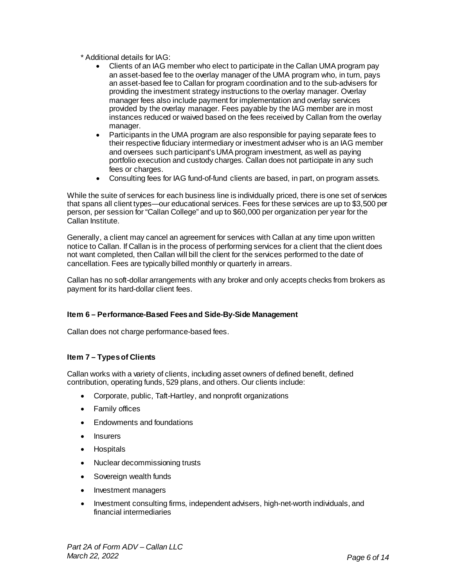\* Additional details for IAG:

- Clients of an IAG member who elect to participate in the Callan UMA program pay an asset-based fee to the overlay manager of the UMA program who, in turn, pays an asset-based fee to Callan for program coordination and to the sub-advisers for providing the investment strategy instructions to the overlay manager. Overlay manager fees also include payment for implementation and overlay services provided by the overlay manager. Fees payable by the IAG member are in most instances reduced or waived based on the fees received by Callan from the overlay manager.
- Participants in the UMA program are also responsible for paying separate fees to their respective fiduciary intermediary or investment adviser who is an IAG member and oversees such participant's UMA program investment, as well as paying portfolio execution and custody charges. Callan does not participate in any such fees or charges.
- Consulting fees for IAG fund-of-fund clients are based, in part, on program assets.

<span id="page-5-0"></span>While the suite of services for each business line is individually priced, there is one set of services that spans all client types—our educational services. Fees for these services are up to \$3,500 per person, per session for "Callan College" and up to \$60,000 per organization per year for the Callan Institute.

Generally, a client may cancel an agreement for services with Callan at any time upon written notice to Callan. If Callan is in the process of performing services for a client that the client does not want completed, then Callan will bill the client for the services performed to the date of cancellation. Fees are typically billed monthly or quarterly in arrears.

Callan has no soft-dollar arrangements with any broker and only accepts checks from brokers as payment for its hard-dollar client fees.

## **Item 6 – Performance-Based Fees and Side-By-Side Management**

Callan does not charge performance-based fees.

## <span id="page-5-1"></span>**Item 7 – Types of Clients**

Callan works with a variety of clients, including asset owners of defined benefit, defined contribution, operating funds, 529 plans, and others. Our clients include:

- Corporate, public, Taft-Hartley, and nonprofit organizations
- Family offices
- Endowments and foundations
- Insurers
- Hospitals
- Nuclear decommissioning trusts
- Sovereign wealth funds
- Investment managers
- Investment consulting firms, independent advisers, high-net-worth individuals, and financial intermediaries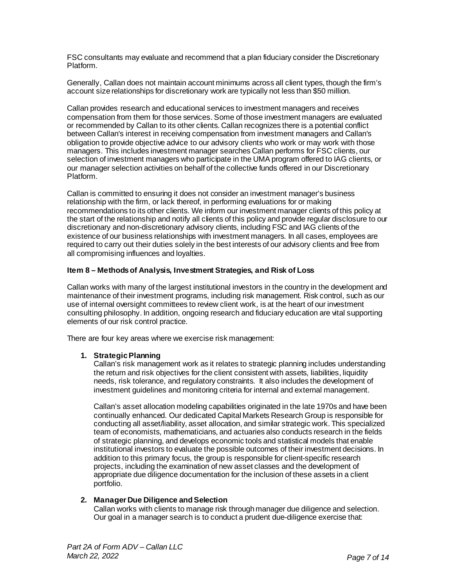FSC consultants may evaluate and recommend that a plan fiduciary consider the Discretionary Platform.

Generally, Callan does not maintain account minimums across all client types, though the firm's account size relationships for discretionary work are typically not less than \$50 million.

Callan provides research and educational services to investment managers and receives compensation from them for those services. Some of those investment managers are evaluated or recommended by Callan to its other clients. Callan recognizes there is a potential conflict between Callan's interest in receiving compensation from investment managers and Callan's obligation to provide objective advice to our advisory clients who work or may work with those managers. This includes investment manager searches Callan performs for FSC clients, our selection of investment managers who participate in the UMA program offered to IAG clients, or our manager selection activities on behalf of the collective funds offered in our Discretionary Platform.

Callan is committed to ensuring it does not consider an investment manager's business relationship with the firm, or lack thereof, in performing evaluations for or making recommendations to its other clients. We inform our investment manager clients of this policy at the start of the relationship and notify all clients of this policy and provide regular disclosure to our discretionary and non-discretionary advisory clients, including FSC and IAG clients of the existence of our business relationships with investment managers. In all cases, employees are required to carry out their duties solely in the best interests of our advisory clients and free from all compromising influences and loyalties.

#### <span id="page-6-0"></span>**Item 8 – Methods of Analysis, Investment Strategies, and Risk of Loss**

Callan works with many of the largest institutional investors in the country in the development and maintenance of their investment programs, including risk management. Risk control, such as our use of internal oversight committees to review client work, is at the heart of our investment consulting philosophy. In addition, ongoing research and fiduciary education are vital supporting elements of our risk control practice.

There are four key areas where we exercise risk management:

## **1. Strategic Planning**

Callan's risk management work as it relates to strategic planning includes understanding the return and risk objectives for the client consistent with assets, liabilities, liquidity needs, risk tolerance, and regulatory constraints. It also includes the development of investment guidelines and monitoring criteria for internal and external management.

Callan's asset allocation modeling capabilities originated in the late 1970s and have been continually enhanced. Our dedicated Capital Markets Research Group is responsible for conducting all asset/liability, asset allocation, and similar strategic work. This specialized team of economists, mathematicians, and actuaries also conducts research in the fields of strategic planning, and develops economic tools and statistical models that enable institutional investors to evaluate the possible outcomes of their investment decisions. In addition to this primary focus, the group is responsible for client-specific research projects, including the examination of new asset classes and the development of appropriate due diligence documentation for the inclusion of these assets in a client portfolio.

## **2. Manager Due Diligence and Selection**

Callan works with clients to manage risk through manager due diligence and selection. Our goal in a manager search is to conduct a prudent due-diligence exercise that: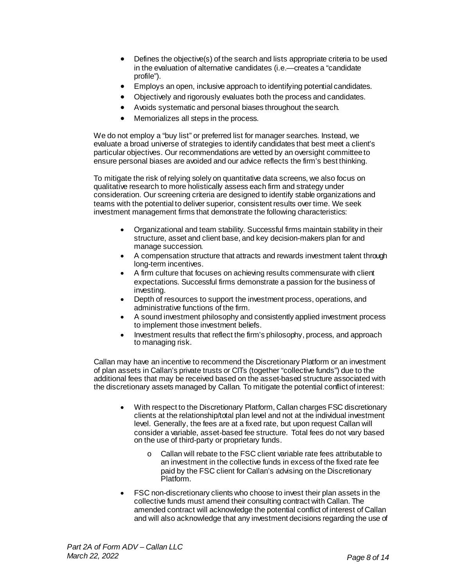- Defines the objective(s) of the search and lists appropriate criteria to be used in the evaluation of alternative candidates (i.e.—creates a "candidate profile").
- Employs an open, inclusive approach to identifying potential candidates.
- Objectively and rigorously evaluates both the process and candidates.
- Avoids systematic and personal biases throughout the search.
- Memorializes all steps in the process.

We do not employ a "buy list" or preferred list for manager searches. Instead, we evaluate a broad universe of strategies to identify candidates that best meet a client's particular objectives. Our recommendations are vetted by an oversight committee to ensure personal biases are avoided and our advice reflects the firm's best thinking.

To mitigate the risk of relying solely on quantitative data screens, we also focus on qualitative research to more holistically assess each firm and strategy under consideration. Our screening criteria are designed to identify stable organizations and teams with the potential to deliver superior, consistent results over time. We seek investment management firms that demonstrate the following characteristics:

- Organizational and team stability. Successful firms maintain stability in their structure, asset and client base, and key decision-makers plan for and manage succession.
- A compensation structure that attracts and rewards investment talent through long-term incentives.
- A firm culture that focuses on achieving results commensurate with client expectations. Successful firms demonstrate a passion for the business of investing.
- Depth of resources to support the investment process, operations, and administrative functions of the firm.
- A sound investment philosophy and consistently applied investment process to implement those investment beliefs.
- Investment results that reflect the firm's philosophy, process, and approach to managing risk.

Callan may have an incentive to recommend the Discretionary Platform or an investment of plan assets in Callan's private trusts or CITs (together "collective funds") due to the additional fees that may be received based on the asset-based structure associated with the discretionary assets managed by Callan. To mitigate the potential conflict of interest:

- With respect to the Discretionary Platform, Callan charges FSC discretionary clients at the relationship/total plan level and not at the individual investment level. Generally, the fees are at a fixed rate, but upon request Callan will consider a variable, asset-based fee structure. Total fees do not vary based on the use of third-party or proprietary funds.
	- o Callan will rebate to the FSC client variable rate fees attributable to an investment in the collective funds in excess of the fixed rate fee paid by the FSC client for Callan's advising on the Discretionary Platform.
- FSC non-discretionary clients who choose to invest their plan assets in the collective funds must amend their consulting contract with Callan. The amended contract will acknowledge the potential conflict of interest of Callan and will also acknowledge that any investment decisions regarding the use of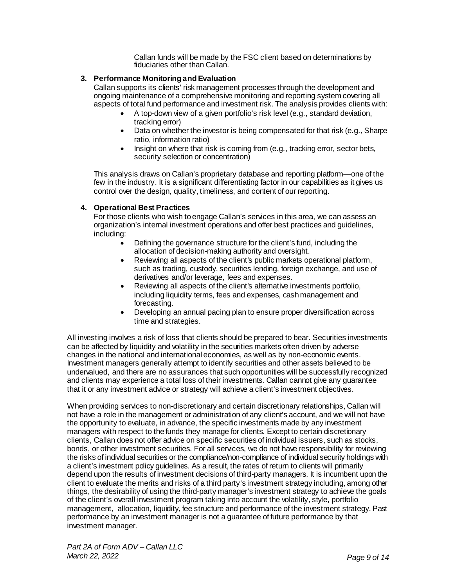Callan funds will be made by the FSC client based on determinations by fiduciaries other than Callan.

## **3. Performance Monitoring andEvaluation**

Callan supports its clients' risk management processes through the development and ongoing maintenance of a comprehensive monitoring and reporting system covering all aspects of total fund performance and investment risk. The analysis provides clients with:

- A top-down view of a given portfolio's risk level (e.g., standard deviation, tracking error)
- Data on whether the investor is being compensated for that risk (e.g., Sharpe ratio, information ratio)
- Insight on where that risk is coming from (e.g., tracking error, sector bets, security selection or concentration)

This analysis draws on Callan's proprietary database and reporting platform—one of the few in the industry. It is a significant differentiating factor in our capabilities as it gives us control over the design, quality, timeliness, and content of our reporting.

## **4. Operational Best Practices**

For those clients who wish to engage Callan's services in this area, we can assess an organization's internal investment operations and offer best practices and guidelines, including:

- Defining the governance structure for the client's fund, including the allocation of decision-making authority and oversight.
- Reviewing all aspects of the client's public markets operational platform, such as trading, custody, securities lending, foreign exchange, and use of derivatives and/or leverage, fees and expenses.
- Reviewing all aspects of the client's alternative investments portfolio, including liquidity terms, fees and expenses, cash management and forecasting.
- Developing an annual pacing plan to ensure proper diversification across time and strategies.

All investing involves a risk of loss that clients should be prepared to bear. Securities investments can be affected by liquidity and volatility in the securities markets often driven by adverse changes in the national and international economies, as well as by non-economic events. Investment managers generally attempt to identify securities and other assets believed to be undervalued, and there are no assurances that such opportunities will be successfully recognized and clients may experience a total loss of their investments. Callan cannot give any guarantee that it or any investment advice or strategy will achieve a client's investment objectives.

When providing services to non-discretionary and certain discretionary relationships, Callan will not have a role in the management or administration of any client's account, and we will not have the opportunity to evaluate, in advance, the specific investments made by any investment managers with respect to the funds they manage for clients. Except to certain discretionary clients, Callan does not offer advice on specific securities of individual issuers, such as stocks, bonds, or other investment securities. For all services, we do not have responsibility for reviewing the risks of individual securities or the compliance/non-compliance of individual security holdings with a client's investment policy guidelines. As a result, the rates of return to clients will primarily depend upon the results of investment decisions of third-party managers. It is incumbent upon the client to evaluate the merits and risks of a third party's investment strategy including, among other things, the desirability of using the third-party manager's investment strategy to achieve the goals of the client's overall investment program taking into account the volatility, style, portfolio management, allocation, liquidity, fee structure and performance of the investment strategy. Past performance by an investment manager is not a guarantee of future performance by that investment manager.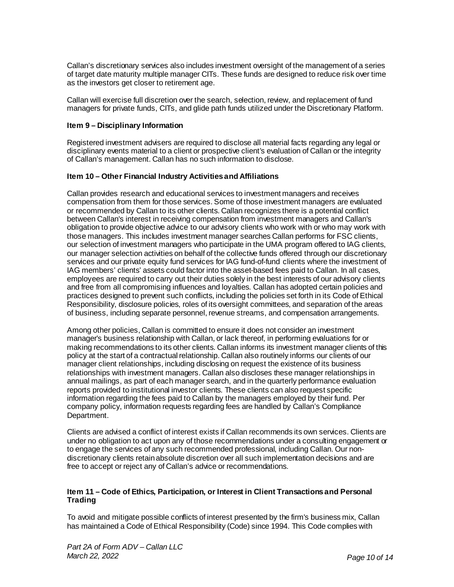Callan's discretionary services also includes investment oversight of the management of a series of target date maturity multiple manager CITs. These funds are designed to reduce risk over time as the investors get closer to retirement age.

Callan will exercise full discretion over the search, selection, review, and replacement of fund managers for private funds, CITs, and glide path funds utilized under the Discretionary Platform.

#### <span id="page-9-0"></span>**Item 9 – Disciplinary Information**

Registered investment advisers are required to disclose all material facts regarding any legal or disciplinary events material to a client or prospective client's evaluation of Callan or the integrity of Callan's management. Callan has no such information to disclose.

#### <span id="page-9-1"></span>**Item 10 – Other Financial Industry Activities and Affiliations**

Callan provides research and educational services to investment managers and receives compensation from them for those services. Some of those investment managers are evaluated or recommended by Callan to its other clients. Callan recognizes there is a potential conflict between Callan's interest in receiving compensation from investment managers and Callan's obligation to provide objective advice to our advisory clients who work with or who may work with those managers. This includes investment manager searches Callan performs for FSC clients, our selection of investment managers who participate in the UMA program offered to IAG clients, our manager selection activities on behalf of the collective funds offered through our discretionary services and our private equity fund services for IAG fund-of-fund clients where the investment of IAG members' clients' assets could factor into the asset-based fees paid to Callan. In all cases, employees are required to carry out their duties solely in the best interests of our advisory clients and free from all compromising influences and loyalties. Callan has adopted certain policies and practices designed to prevent such conflicts, including the policies set forth in its Code of Ethical Responsibility, disclosure policies, roles of its oversight committees, and separation of the areas of business, including separate personnel, revenue streams, and compensation arrangements.

Among other policies, Callan is committed to ensure it does not consider an investment manager's business relationship with Callan, or lack thereof, in performing evaluations for or making recommendations to its other clients. Callan informs its investment manager clients of this policy at the start of a contractual relationship. Callan also routinely informs our clients of our manager client relationships, including disclosing on request the existence of its business relationships with investment managers. Callan also discloses these manager relationships in annual mailings, as part of each manager search, and in the quarterly performance evaluation reports provided to institutional investor clients. These clients can also request specific information regarding the fees paid to Callan by the managers employed by their fund. Per company policy, information requests regarding fees are handled by Callan's Compliance Department.

Clients are advised a conflict of interest exists if Callan recommends its own services. Clients are under no obligation to act upon any of those recommendations under a consulting engagement or to engage the services of any such recommended professional, including Callan. Our nondiscretionary clients retain absolute discretion over all such implementation decisions and are free to accept or reject any of Callan's advice or recommendations.

#### <span id="page-9-2"></span>**Item 11 – Code of Ethics, Participation, or Interest in Client Transactions and Personal Trading**

To avoid and mitigate possible conflicts of interest presented by the firm's business mix, Callan has maintained a Code of Ethical Responsibility (Code) since 1994. This Code complies with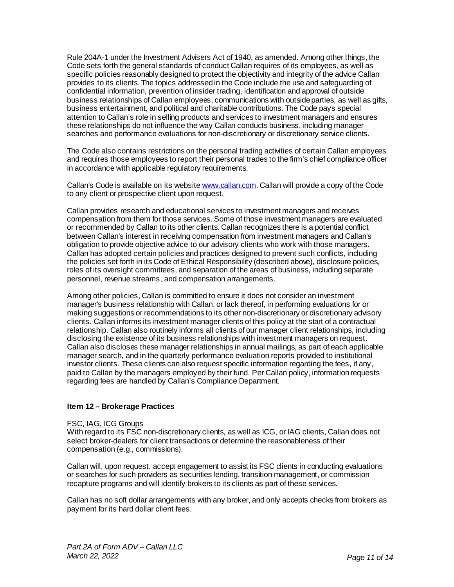Rule 204A-1 under the Investment Advisers Act of 1940, as amended. Among other things, the Code sets forth the general standards of conduct Callan requires of its employees, as well as specific policies reasonably designed to protect the objectivity and integrity of the advice Callan provides to its clients. The topics addressed in the Code include the use and safeguarding of confidential information, prevention of insider trading, identification and approval of outside business relationships of Callan employees, communications with outside parties, as well as gifts, business entertainment, and political and charitable contributions. The Code pays special attention to Callan's role in selling products and services to investment managers and ensures these relationships do not influence the way Callan conducts business, including manager searches and performance evaluations for non-discretionary or discretionary service clients.

The Code also contains restrictions on the personal trading activities of certain Callan employees and requires those employees to report their personal trades to the firm's chief compliance officer in accordance with applicable regulatory requirements.

Callan's Code is available on its websit[e www.callan.com](http://www.callan.com/). Callan will provide a copy of the Code to any client or prospective client upon request.

Callan provides research and educational services to investment managers and receives compensation from them for those services. Some of those investment managers are evaluated or recommended by Callan to its other clients. Callan recognizes there is a potential conflict between Callan's interest in receiving compensation from investment managers and Callan's obligation to provide objective advice to our advisory clients who work with those managers. Callan has adopted certain policies and practices designed to prevent such conflicts, including the policies set forth in its Code of Ethical Responsibility (described above), disclosure policies, roles of its oversight committees, and separation of the areas of business, including separate personnel, revenue streams, and compensation arrangements.

Among other policies, Callan is committed to ensure it does not consider an investment manager's business relationship with Callan, or lack thereof, in performing evaluations for or making suggestions or recommendations to its other non-discretionary or discretionary advisory clients. Callan informs its investment manager clients of this policy at the start of a contractual relationship. Callan also routinely informs all clients of our manager client relationships, including disclosing the existence of its business relationships with investment managers on request. Callan also discloses these manager relationships in annual mailings, as part of each applicable manager search, and in the quarterly performance evaluation reports provided to institutional investor clients. These clients can also request specific information regarding the fees, if any, paid to Callan by the managers employed by their fund. Per Callan policy, information requests regarding fees are handled by Callan's Compliance Department.

#### <span id="page-10-0"></span>**Item 12 – Brokerage Practices**

#### FSC, IAG, ICG Groups

With regard to its FSC non-discretionary clients, as well as ICG, or IAG clients, Callan does not select broker-dealers for client transactions or determine the reasonableness of their compensation (e.g., commissions).

Callan will, upon request, accept engagement to assist its FSC clients in conducting evaluations or searches for such providers as securities lending, transition management, or commission recapture programs and will identify brokers to its clients as part of these services.

Callan has no soft dollar arrangements with any broker, and only accepts checks from brokers as payment for its hard dollar client fees.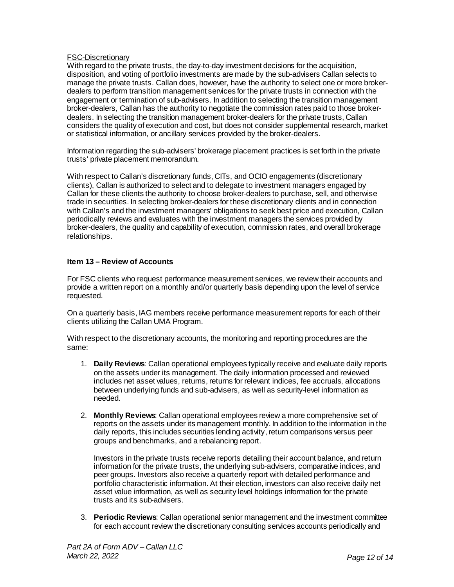## FSC-Discretionary

With regard to the private trusts, the day-to-day investment decisions for the acquisition, disposition, and voting of portfolio investments are made by the sub-advisers Callan selects to manage the private trusts. Callan does, however, have the authority to select one or more brokerdealers to perform transition management services for the private trusts in connection with the engagement or termination of sub-advisers. In addition to selecting the transition management broker-dealers, Callan has the authority to negotiate the commission rates paid to those brokerdealers. In selecting the transition management broker-dealers for the private trusts, Callan considers the quality of execution and cost, but does not consider supplemental research, market or statistical information, or ancillary services provided by the broker-dealers.

Information regarding the sub-advisers' brokerage placement practices is set forth in the private trusts' private placement memorandum.

With respect to Callan's discretionary funds, CITs, and OCIO engagements (discretionary clients), Callan is authorized to select and to delegate to investment managers engaged by Callan for these clients the authority to choose broker-dealers to purchase, sell, and otherwise trade in securities. In selecting broker-dealers for these discretionary clients and in connection with Callan's and the investment managers' obligations to seek best price and execution, Callan periodically reviews and evaluates with the investment managers the services provided by broker-dealers, the quality and capability of execution, commission rates, and overall brokerage relationships.

## <span id="page-11-0"></span>**Item 13 – Review of Accounts**

For FSC clients who request performance measurement services, we review their accounts and provide a written report on a monthly and/or quarterly basis depending upon the level of service requested.

On a quarterly basis, IAG members receive performance measurement reports for each of their clients utilizing the Callan UMA Program.

With respect to the discretionary accounts, the monitoring and reporting procedures are the same:

- 1. **Daily Reviews**: Callan operational employees typically receive and evaluate daily reports on the assets under its management. The daily information processed and reviewed includes net asset values, returns, returns for relevant indices, fee accruals, allocations between underlying funds and sub-advisers, as well as security-level information as needed.
- 2. **Monthly Reviews**: Callan operational employees review a more comprehensive set of reports on the assets under its management monthly. In addition to the information in the daily reports, this includes securities lending activity, return comparisons versus peer groups and benchmarks, and a rebalancing report.

Investors in the private trusts receive reports detailing their account balance, and return information for the private trusts, the underlying sub-advisers, comparative indices, and peer groups. Investors also receive a quarterly report with detailed performance and portfolio characteristic information. At their election, investors can also receive daily net asset value information, as well as security level holdings information for the private trusts and its sub-advisers.

3. **Periodic Reviews**: Callan operational senior management and the investment committee for each account review the discretionary consulting services accounts periodically and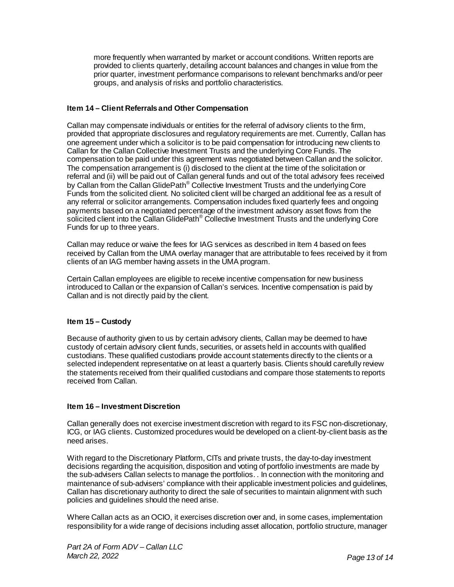more frequently when warranted by market or account conditions. Written reports are provided to clients quarterly, detailing account balances and changes in value from the prior quarter, investment performance comparisons to relevant benchmarks and/or peer groups, and analysis of risks and portfolio characteristics.

## <span id="page-12-0"></span>**Item 14 – Client Referrals and Other Compensation**

Callan may compensate individuals or entities for the referral of advisory clients to the firm, provided that appropriate disclosures and regulatory requirements are met. Currently, Callan has one agreement under which a solicitor is to be paid compensation for introducing new clients to Callan for the Callan Collective Investment Trusts and the underlying Core Funds. The compensation to be paid under this agreement was negotiated between Callan and the solicitor. The compensation arrangement is (i) disclosed to the client at the time of the solicitation or referral and (ii) will be paid out of Callan general funds and out of the total advisory fees received by Callan from the Callan GlidePath<sup>®</sup> Collective Investment Trusts and the underlying Core Funds from the solicited client. No solicited client will be charged an additional fee as a result of any referral or solicitor arrangements. Compensation includes fixed quarterly fees and ongoing payments based on a negotiated percentage of the investment advisory asset flows from the solicited client into the Callan GlidePath<sup>®</sup> Collective Investment Trusts and the underlying Core Funds for up to three years.

Callan may reduce or waive the fees for IAG services as described in Item 4 based on fees received by Callan from the UMA overlay manager that are attributable to fees received by it from clients of an IAG member having assets in the UMA program.

Certain Callan employees are eligible to receive incentive compensation for new business introduced to Callan or the expansion of Callan's services. Incentive compensation is paid by Callan and is not directly paid by the client.

## <span id="page-12-1"></span>**Item 15 – Custody**

Because of authority given to us by certain advisory clients, Callan may be deemed to have custody of certain advisory client funds, securities, or assets held in accounts with qualified custodians. These qualified custodians provide account statements directly to the clients or a selected independent representative on at least a quarterly basis. Clients should carefully review the statements received from their qualified custodians and compare those statements to reports received from Callan.

## <span id="page-12-2"></span>**Item 16 – Investment Discretion**

Callan generally does not exercise investment discretion with regard to its FSC non-discretionary, ICG, or IAG clients. Customized procedures would be developed on a client-by-client basis as the need arises.

With regard to the Discretionary Platform, CITs and private trusts, the day-to-day investment decisions regarding the acquisition, disposition and voting of portfolio investments are made by the sub-advisers Callan selects to manage the portfolios. . In connection with the monitoring and maintenance of sub-advisers' compliance with their applicable investment policies and guidelines, Callan has discretionary authority to direct the sale of securities to maintain alignment with such policies and guidelines should the need arise.

Where Callan acts as an OCIO, it exercises discretion over and, in some cases, implementation responsibility for a wide range of decisions including asset allocation, portfolio structure, manager